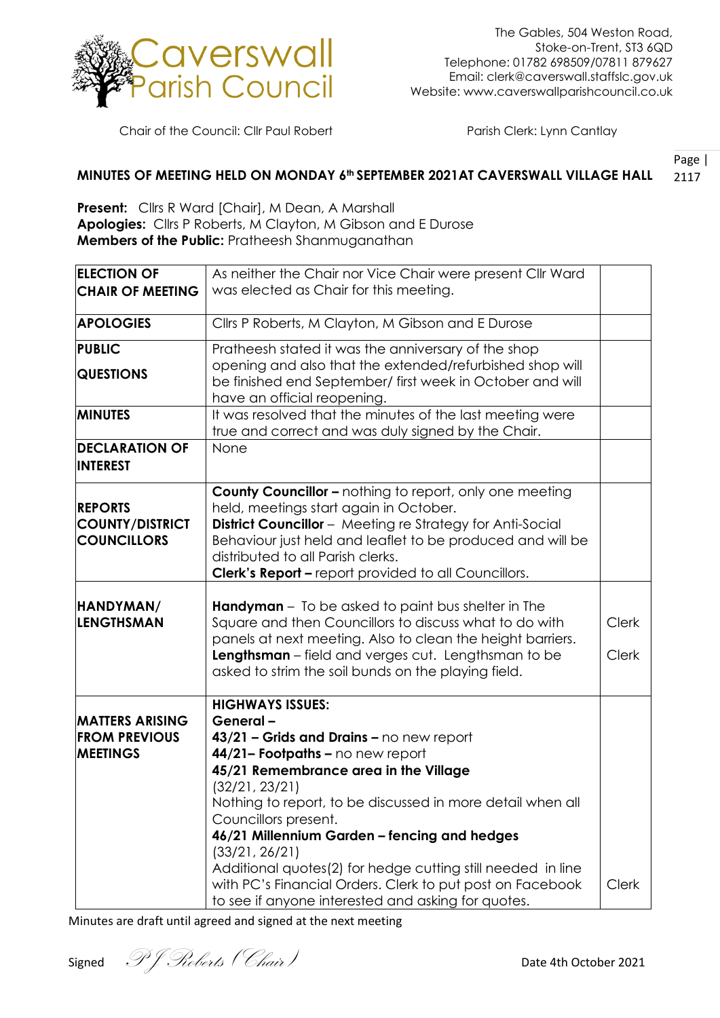

Chair of the Council: Cllr Paul Robert Parish Clerk: Lynn Cantlay

## Page | 2117 **MINUTES OF MEETING HELD ON MONDAY 6th SEPTEMBER 2021AT CAVERSWALL VILLAGE HALL**

**Present:** Cllrs R Ward [Chair], M Dean, A Marshall **Apologies:** Cllrs P Roberts, M Clayton, M Gibson and E Durose **Members of the Public:** Pratheesh Shanmuganathan

| <b>ELECTION OF</b><br><b>CHAIR OF MEETING</b><br><b>APOLOGIES</b><br><b>PUBLIC</b> | As neither the Chair nor Vice Chair were present Cllr Ward<br>was elected as Chair for this meeting.<br>Cllrs P Roberts, M Clayton, M Gibson and E Durose |              |
|------------------------------------------------------------------------------------|-----------------------------------------------------------------------------------------------------------------------------------------------------------|--------------|
|                                                                                    |                                                                                                                                                           |              |
|                                                                                    |                                                                                                                                                           |              |
|                                                                                    |                                                                                                                                                           |              |
|                                                                                    | Pratheesh stated it was the anniversary of the shop                                                                                                       |              |
|                                                                                    | opening and also that the extended/refurbished shop will                                                                                                  |              |
| <b>QUESTIONS</b>                                                                   | be finished end September/ first week in October and will                                                                                                 |              |
|                                                                                    | have an official reopening.                                                                                                                               |              |
| <b>MINUTES</b>                                                                     | It was resolved that the minutes of the last meeting were                                                                                                 |              |
|                                                                                    | true and correct and was duly signed by the Chair.                                                                                                        |              |
| <b>DECLARATION OF</b>                                                              | None                                                                                                                                                      |              |
| <b>INTEREST</b>                                                                    |                                                                                                                                                           |              |
|                                                                                    |                                                                                                                                                           |              |
|                                                                                    | <b>County Councillor - nothing to report, only one meeting</b>                                                                                            |              |
| <b>REPORTS</b>                                                                     | held, meetings start again in October.                                                                                                                    |              |
| <b>COUNTY/DISTRICT</b>                                                             | <b>District Councillor</b> - Meeting re Strategy for Anti-Social                                                                                          |              |
| <b>COUNCILLORS</b>                                                                 | Behaviour just held and leaflet to be produced and will be                                                                                                |              |
|                                                                                    | distributed to all Parish clerks.                                                                                                                         |              |
|                                                                                    | <b>Clerk's Report - report provided to all Councillors.</b>                                                                                               |              |
|                                                                                    |                                                                                                                                                           |              |
| HANDYMAN/                                                                          | <b>Handyman</b> – To be asked to paint bus shelter in The                                                                                                 |              |
| <b>LENGTHSMAN</b>                                                                  | Square and then Councillors to discuss what to do with                                                                                                    | <b>Clerk</b> |
|                                                                                    | panels at next meeting. Also to clean the height barriers.                                                                                                |              |
|                                                                                    | Lengthsman - field and verges cut. Lengthsman to be                                                                                                       | <b>Clerk</b> |
|                                                                                    | asked to strim the soil bunds on the playing field.                                                                                                       |              |
|                                                                                    |                                                                                                                                                           |              |
| <b>MATTERS ARISING</b>                                                             | <b>HIGHWAYS ISSUES:</b><br>General-                                                                                                                       |              |
| <b>FROM PREVIOUS</b>                                                               | 43/21 - Grids and Drains - no new report                                                                                                                  |              |
| <b>MEETINGS</b>                                                                    | 44/21- Footpaths - no new report                                                                                                                          |              |
|                                                                                    | 45/21 Remembrance area in the Village                                                                                                                     |              |
|                                                                                    | (32/21, 23/21)                                                                                                                                            |              |
|                                                                                    |                                                                                                                                                           |              |
|                                                                                    |                                                                                                                                                           |              |
|                                                                                    |                                                                                                                                                           |              |
|                                                                                    |                                                                                                                                                           |              |
|                                                                                    | Additional quotes(2) for hedge cutting still needed in line                                                                                               |              |
|                                                                                    | with PC's Financial Orders. Clerk to put post on Facebook                                                                                                 | <b>Clerk</b> |
|                                                                                    | to see if anyone interested and asking for quotes.                                                                                                        |              |
|                                                                                    | Nothing to report, to be discussed in more detail when all<br>Councillors present.<br>46/21 Millennium Garden - fencing and hedges<br>(33/21, 26/21)      |              |

Minutes are draft until agreed and signed at the next meeting

Signed  $P$  *J Roberts* (*Chair*) **Date 4th October 2021**